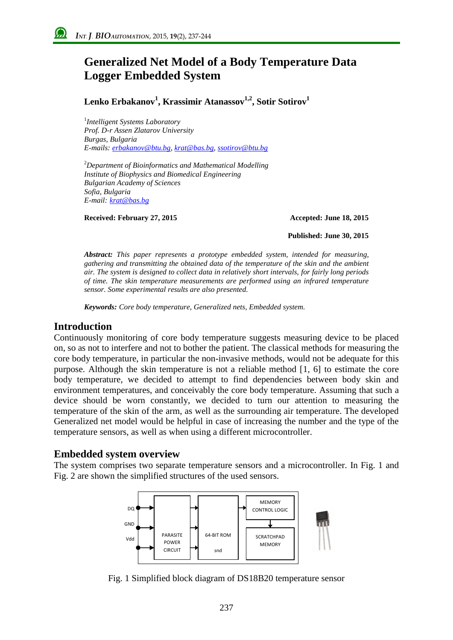# **Generalized Net Model of a Body Temperature Data Logger Embedded System**

**Lenko Erbakanov<sup>1</sup> , Krassimir Atanassov1,2, Sotir Sotirov<sup>1</sup>**

1 *Intelligent Systems Laboratory Prof. D-r Assen Zlatarov University Burgas, Bulgaria E-mails[: erbakanov@btu.bg,](mailto:erbakanov@btu.bg) [krat@bas.b](mailto:krat@bas.com)g, [ssotirov@btu.bg](mailto:ssotirov@btu.bg)*

<sup>2</sup>*Department of Bioinformatics and Mathematical Modelling Institute of Biophysics and Biomedical Engineering Bulgarian Academy of Sciences Sofia, Bulgaria E-mail: [krat@bas.b](mailto:krat@bas.com)g*

**Received: February 27, 2015 Accepted: June 18, 2015**

**Published: June 30, 2015**

*Abstract: This paper represents a prototype embedded system, intended for measuring, gathering and transmitting the obtained data of the temperature of the skin and the ambient air. The system is designed to collect data in relatively short intervals, for fairly long periods of time. The skin temperature measurements are performed using an infrared temperature sensor. Some experimental results are also presented.*

*Keywords: Core body temperature, Generalized nets, Embedded system.*

## **Introduction**

Continuously monitoring of core body temperature suggests measuring device to be placed on, so as not to interfere and not to bother the patient. The classical methods for measuring the core body temperature, in particular the non-invasive methods, would not be adequate for this purpose. Although the skin temperature is not a reliable method [1, 6] to estimate the core body temperature, we decided to attempt to find dependencies between body skin and environment temperatures, and conceivably the core body temperature. Assuming that such a device should be worn constantly, we decided to turn our attention to measuring the temperature of the skin of the arm, as well as the surrounding air temperature. The developed Generalized net model would be helpful in case of increasing the number and the type of the temperature sensors, as well as when using a different microcontroller.

## **Embedded system overview**

The system comprises two separate temperature sensors and a microcontroller. In Fig. 1 and Fig. 2 are shown the simplified structures of the used sensors.



Fig. 1 Simplified block diagram of DS18B20 temperature sensor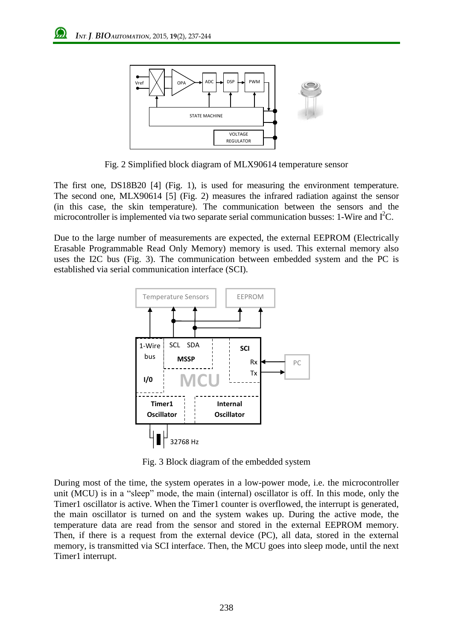

Fig. 2 Simplified block diagram of MLX90614 temperature sensor

The first one, DS18B20 [4] (Fig. 1), is used for measuring the environment temperature. The second one, MLX90614 [5] (Fig. 2) measures the infrared radiation against the sensor (in this case, the skin temperature). The communication between the sensors and the microcontroller is implemented via two separate serial communication busses:  $1$ -Wire and I<sup>2</sup>C.

Due to the large number of measurements are expected, the external EEPROM (Electrically Erasable Programmable Read Only Memory) memory is used. This external memory also uses the I2C bus (Fig. 3). The communication between embedded system and the PC is established via serial communication interface (SCI).



Fig. 3 Block diagram of the embedded system

During most of the time, the system operates in a low-power mode, i.e. the microcontroller unit (MCU) is in a "sleep" mode, the main (internal) oscillator is off. In this mode, only the Timer1 oscillator is active. When the Timer1 counter is overflowed, the interrupt is generated, the main oscillator is turned on and the system wakes up. During the active mode, the temperature data are read from the sensor and stored in the external EEPROM memory. Then, if there is a request from the external device (PC), all data, stored in the external memory, is transmitted via SCI interface. Then, the MCU goes into sleep mode, until the next Timer1 interrupt.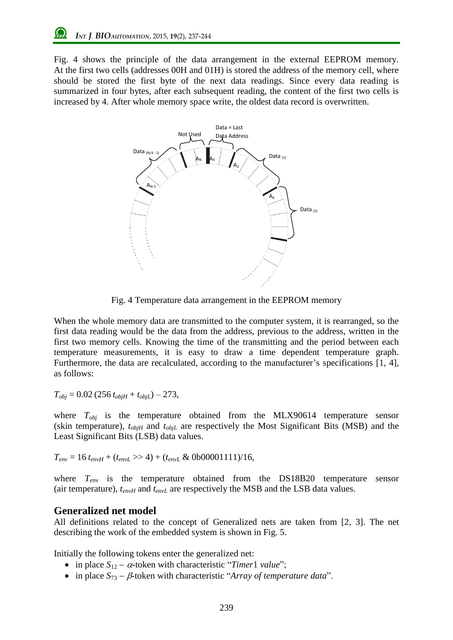Fig. 4 shows the principle of the data arrangement in the external EEPROM memory. At the first two cells (addresses 00H and 01H) is stored the address of the memory cell, where should be stored the first byte of the next data readings. Since every data reading is summarized in four bytes, after each subsequent reading, the content of the first two cells is increased by 4. After whole memory space write, the oldest data record is overwritten.



Fig. 4 Temperature data arrangement in the EEPROM memory

When the whole memory data are transmitted to the computer system, it is rearranged, so the first data reading would be the data from the address, previous to the address, written in the first two memory cells. Knowing the time of the transmitting and the period between each temperature measurements, it is easy to draw a time dependent temperature graph. Furthermore, the data are recalculated, according to the manufacturer's specifications [1, 4], as follows:

 $T_{obj} = 0.02 (256 t_{objH} + t_{objL}) - 273$ ,

where *Tobj* is the temperature obtained from the MLX90614 temperature sensor (skin temperature),  $t_{objH}$  and  $t_{objL}$  are respectively the Most Significant Bits (MSB) and the Least Significant Bits (LSB) data values.

 $T_{env} = 16 t_{env} + (t_{envL} >> 4) + (t_{envL} & 000001111)/16$ ,

where *Tenv* is the temperature obtained from the DS18B20 temperature sensor (air temperature),  $t_{envH}$  and  $t_{envL}$  are respectively the MSB and the LSB data values.

## **Generalized net model**

All definitions related to the concept of Generalized nets are taken from [2, 3]. The net describing the work of the embedded system is shown in Fig. 5.

Initially the following tokens enter the generalized net:

- in place  $S_{12} \alpha$ -token with characteristic "*Timer*1 *value*";
- in place  $S_{73} \beta$ -token with characteristic "*Array of temperature data*".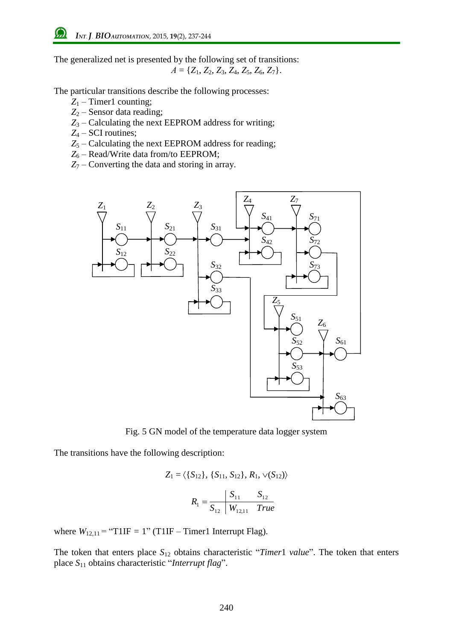The generalized net is presented by the following set of transitions:  $A = \{Z_1, Z_2, Z_3, Z_4, Z_5, Z_6, Z_7\}.$ 

The particular transitions describe the following processes:

- *Z*<sup>1</sup> Timer1 counting;
- *Z*<sup>2</sup> Sensor data reading;
- *Z*<sup>3</sup> Calculating the next EEPROM address for writing;
- *Z*<sup>4</sup> SCI routines;
- *Z*<sup>5</sup> Calculating the next EEPROM address for reading;
- *Z*<sup>6</sup> Read/Write data from/to EEPROM;
- *Z*<sup>7</sup> Converting the data and storing in array.



Fig. 5 GN model of the temperature data logger system

The transitions have the following description:

$$
Z_1 = \langle \{S_{12}\}, \{S_{11}, S_{12}\}, R_1, \sqrt{(S_{12})}\rangle
$$

$$
R_1 = \frac{S_{11}}{S_{12}} \frac{S_{11}}{W_{12,11}} \frac{S_{12}}{True}
$$

where  $W_{12,11}$  = "T1IF = 1" (T1IF – Timer1 Interrupt Flag).

The token that enters place *S*<sup>12</sup> obtains characteristic "*Timer*1 *value*". The token that enters place *S*<sup>11</sup> obtains characteristic "*Interrupt flag*".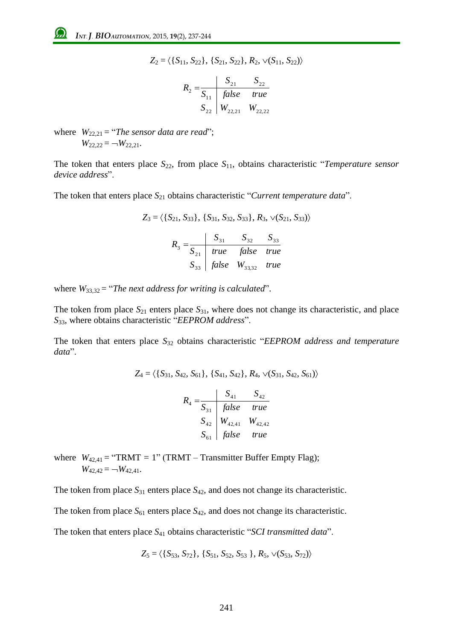$$
Z_2 = \langle \{S_{11}, S_{22}\}, \{S_{21}, S_{22}\}, R_2, \vee (S_{11}, S_{22})\rangle
$$

$$
R_2 = \frac{S_{21}}{S_{11}} \quad \frac{S_{22}}{false} \quad true
$$
  

$$
S_{22} \quad W_{22,21} \quad W_{22,22}
$$

where  $W_{22,21} = "The sensor data are read";$  $W_{22,22} = -W_{22,21}$ .

The token that enters place  $S_{22}$ , from place  $S_{11}$ , obtains characteristic "*Temperature sensor device address*".

The token that enters place *S*<sup>21</sup> obtains characteristic "*Current temperature data*".

$$
Z_3 = \langle \{S_{21}, S_{33}\}, \{S_{31}, S_{32}, S_{33}\}, R_3, \sqrt{(S_{21}, S_{33})}\rangle
$$

$$
R_3 = \frac{S_{31}}{S_{21}} \quad true \quad false \quad true
$$

$$
S_{33} \quad false \quad W_{33,32} \quad true
$$

where  $W_{33,32}$  = "*The next address for writing is calculated*".

The token from place  $S_{21}$  enters place  $S_{31}$ , where does not change its characteristic, and place *S*33, where obtains characteristic "*EEPROM address*".

The token that enters place *S*<sup>32</sup> obtains characteristic "*EEPROM address and temperature data*".

$$
Z_4 = \langle \{S_{31}, S_{42}, S_{61}\}, \{S_{41}, S_{42}\}, R_4, \vee (S_{31}, S_{42}, S_{61})\rangle
$$
  
\n
$$
\begin{array}{c|c}\n & S_{41} & S_{42}\n\end{array}
$$

$$
R_4 = \frac{S_{41}}{S_{31}} = \frac{S_{42}}{false} = true
$$
  
\n
$$
S_{42} = \frac{S_{42}}{W_{42,41}} = \frac{W_{42,42}}{W_{42,42}}
$$
  
\n
$$
S_{61} = false = true
$$

where  $W_{42,41}$  = "TRMT = 1" (TRMT – Transmitter Buffer Empty Flag);  $W_{42,42} = -W_{42,41}$ .

The token from place  $S_{31}$  enters place  $S_{42}$ , and does not change its characteristic.

The token from place  $S_{61}$  enters place  $S_{42}$ , and does not change its characteristic.

The token that enters place *S*<sup>41</sup> obtains characteristic "*SCI transmitted data*".

$$
Z_5 = \langle \{S_{53}, S_{72}\}, \{S_{51}, S_{52}, S_{53}\}, R_5, \vee (S_{53}, S_{72})\rangle
$$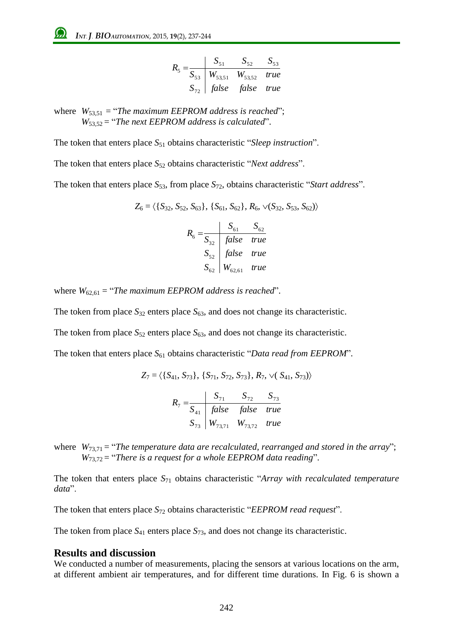$$
R_{5} = \frac{S_{51}}{S_{53}} \begin{array}{|l|l|} S_{51} & S_{52} & S_{53} \\ \hline W_{53,51} & W_{53,52} & true \\ S_{72} & false & false & true \end{array}
$$

where  $W_{53,51}$  = "*The maximum EEPROM address is reached*"; *W*53,52 = "*The next EEPROM address is calculated*".

The token that enters place *S*<sup>51</sup> obtains characteristic "*Sleep instruction*".

The token that enters place *S*<sup>52</sup> obtains characteristic "*Next address*".

The token that enters place  $S_{53}$ , from place  $S_{72}$ , obtains characteristic "*Start address*".

$$
Z_6 = \langle \{S_{32}, S_{52}, S_{63}\}, \{S_{61}, S_{62}\}, R_6, \sqrt{S_{32}}, S_{53}, S_{62}\rangle \rangle
$$

$$
R_6 = \frac{S_{61}}{S_{32}} \frac{S_{61}}{false} true
$$

$$
S_{52} \begin{cases} false & true \\ S_{62} \end{cases} true
$$

where  $W_{62,61}$  = "*The maximum EEPROM address is reached*".

The token from place  $S_{32}$  enters place  $S_{63}$ , and does not change its characteristic.

The token from place  $S_{52}$  enters place  $S_{63}$ , and does not change its characteristic.

The token that enters place *S*<sup>61</sup> obtains characteristic "*Data read from EEPROM*".

$$
Z_7 = \langle \{S_{41}, S_{73}\}, \{S_{71}, S_{72}, S_{73}\}, R_7, \vee (S_{41}, S_{73})\rangle
$$

$$
R_7 = \frac{S_{71}}{S_{41}} \quad \text{false} \quad \text{false} \quad \text{true}
$$

$$
S_{73} \quad W_{73,71} \quad W_{73,72} \quad \text{true}
$$

where  $W_{73,71}$  = "*The temperature data are recalculated, rearranged and stored in the array*"; *W*73,72 = "*There is a request for a whole EEPROM data reading*".

The token that enters place *S*<sup>71</sup> obtains characteristic "*Array with recalculated temperature data*".

The token that enters place *S*<sup>72</sup> obtains characteristic "*EEPROM read request*".

The token from place  $S_{41}$  enters place  $S_{73}$ , and does not change its characteristic.

#### **Results and discussion**

We conducted a number of measurements, placing the sensors at various locations on the arm, at different ambient air temperatures, and for different time durations. In Fig. 6 is shown a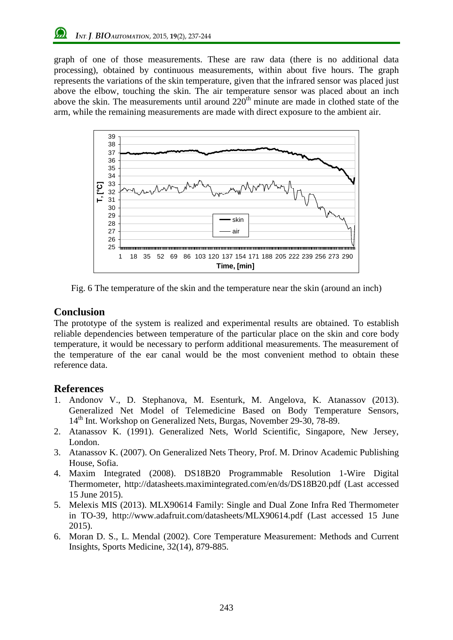graph of one of those measurements. These are raw data (there is no additional data processing), obtained by continuous measurements, within about five hours. The graph represents the variations of the skin temperature, given that the infrared sensor was placed just above the elbow, touching the skin. The air temperature sensor was placed about an inch above the skin. The measurements until around  $220<sup>th</sup>$  minute are made in clothed state of the arm, while the remaining measurements are made with direct exposure to the ambient air.



Fig. 6 The temperature of the skin and the temperature near the skin (around an inch)

# **Conclusion**

The prototype of the system is realized and experimental results are obtained. To establish reliable dependencies between temperature of the particular place on the skin and core body temperature, it would be necessary to perform additional measurements. The measurement of the temperature of the ear canal would be the most convenient method to obtain these reference data.

# **References**

- 1. Andonov V., D. Stephanova, M. Esenturk, M. Angelova, K. Atanassov (2013). Generalized Net Model of Telemedicine Based on Body Temperature Sensors, 14<sup>th</sup> Int. Workshop on Generalized Nets, Burgas, November 29-30, 78-89.
- 2. Atanassov K. (1991). Generalized Nets, World Scientific, Singapore, New Jersey, London.
- 3. Atanassov K. (2007). On Generalized Nets Theory, Prof. M. Drinov Academic Publishing House, Sofia.
- 4. Maxim Integrated (2008). DS18B20 Programmable Resolution 1-Wire Digital Thermometer, http://datasheets.maximintegrated.com/en/ds/DS18B20.pdf (Last accessed 15 June 2015).
- 5. Melexis MIS (2013). MLX90614 Family: Single and Dual Zone Infra Red Thermometer in TO-39, http://www.adafruit.com/datasheets/MLX90614.pdf (Last accessed 15 June 2015).
- 6. Moran D. S., L. Mendal (2002). Core Temperature Measurement: Methods and Current Insights, Sports Medicine, 32(14), 879-885.